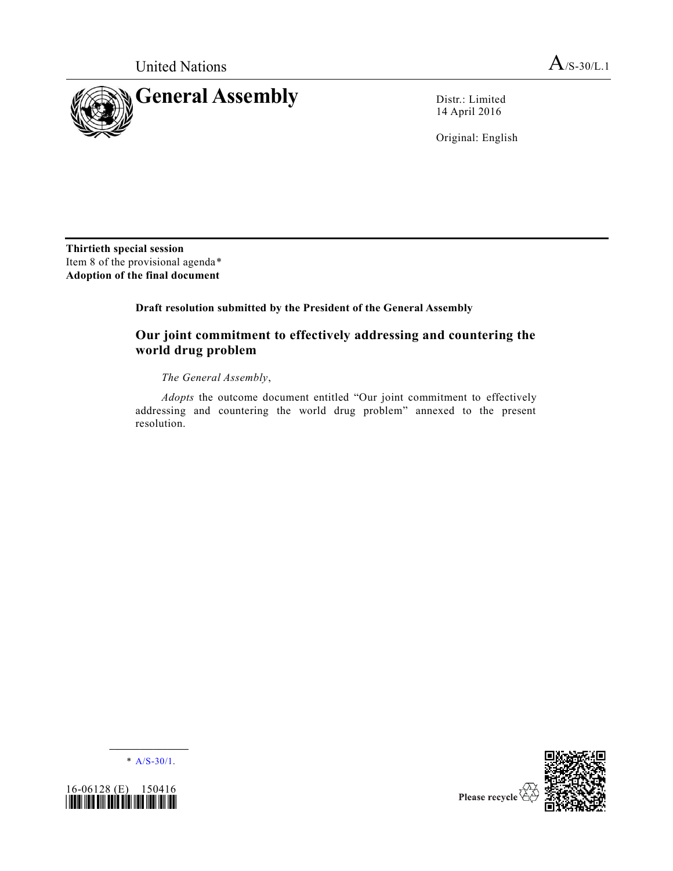

14 April 2016

Original: English

**Thirtieth special session**  Item 8 of the provisional agenda\* **Adoption of the final document** 

**Draft resolution submitted by the President of the General Assembly** 

# **Our joint commitment to effectively addressing and countering the world drug problem**

*The General Assembly*,

*Adopts* the outcome document entitled "Our joint commitment to effectively addressing and countering the world drug problem" annexed to the present resolution.

**\_\_\_\_\_\_\_\_\_\_\_\_\_\_\_\_\_\_**  $*$  [A/S-30/1.](http://undocs.org/A/S-30/1)



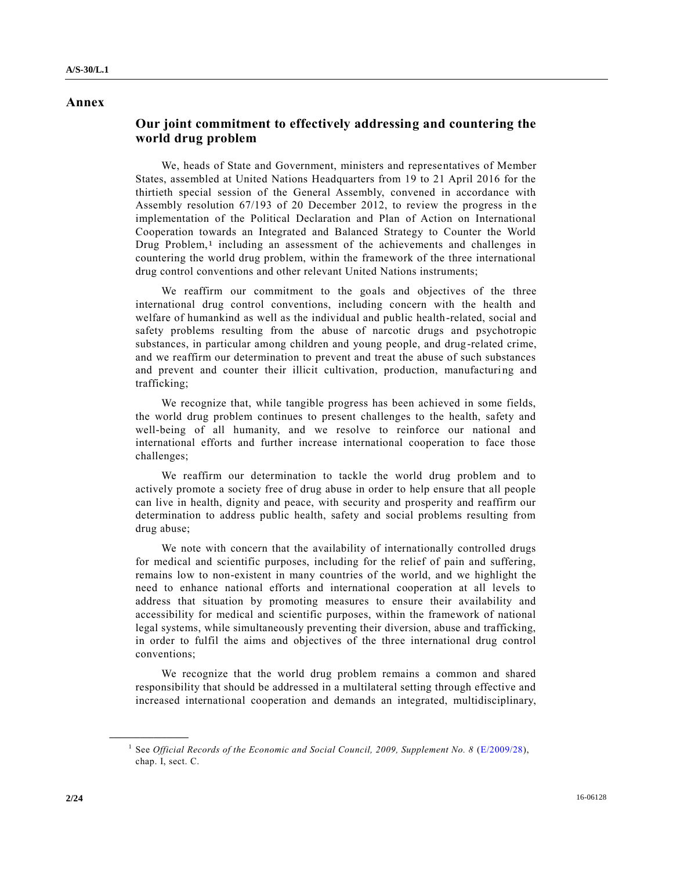## **Annex**

## **Our joint commitment to effectively addressing and countering the world drug problem**

We, heads of State and Government, ministers and representatives of Member States, assembled at United Nations Headquarters from 19 to 21 April 2016 for the thirtieth special session of the General Assembly, convened in accordance with Assembly resolution 67/193 of 20 December 2012, to review the progress in the implementation of the Political Declaration and Plan of Action on International Cooperation towards an Integrated and Balanced Strategy to Counter the World Drug Problem,<sup>1</sup> including an assessment of the achievements and challenges in countering the world drug problem, within the framework of the three international drug control conventions and other relevant United Nations instruments;

We reaffirm our commitment to the goals and objectives of the three international drug control conventions, including concern with the health and welfare of humankind as well as the individual and public health-related, social and safety problems resulting from the abuse of narcotic drugs and psychotropic substances, in particular among children and young people, and drug-related crime, and we reaffirm our determination to prevent and treat the abuse of such substances and prevent and counter their illicit cultivation, production, manufacturing and trafficking;

We recognize that, while tangible progress has been achieved in some fields, the world drug problem continues to present challenges to the health, safety and well-being of all humanity, and we resolve to reinforce our national and international efforts and further increase international cooperation to face those challenges;

We reaffirm our determination to tackle the world drug problem and to actively promote a society free of drug abuse in order to help ensure that all people can live in health, dignity and peace, with security and prosperity and reaffirm our determination to address public health, safety and social problems resulting from drug abuse;

We note with concern that the availability of internationally controlled drugs for medical and scientific purposes, including for the relief of pain and suffering, remains low to non-existent in many countries of the world, and we highlight the need to enhance national efforts and international cooperation at all levels to address that situation by promoting measures to ensure their availability and accessibility for medical and scientific purposes, within the framework of national legal systems, while simultaneously preventing their diversion, abuse and trafficking, in order to fulfil the aims and objectives of the three international drug control conventions;

We recognize that the world drug problem remains a common and shared responsibility that should be addressed in a multilateral setting through effective and increased international cooperation and demands an integrated, multidisciplinary,

<sup>&</sup>lt;sup>1</sup> See *Official Records of the Economic and Social Council, 2009, Supplement No. 8* [\(E/2009/28\)](http://undocs.org/E/2009/28), chap. I, sect. C.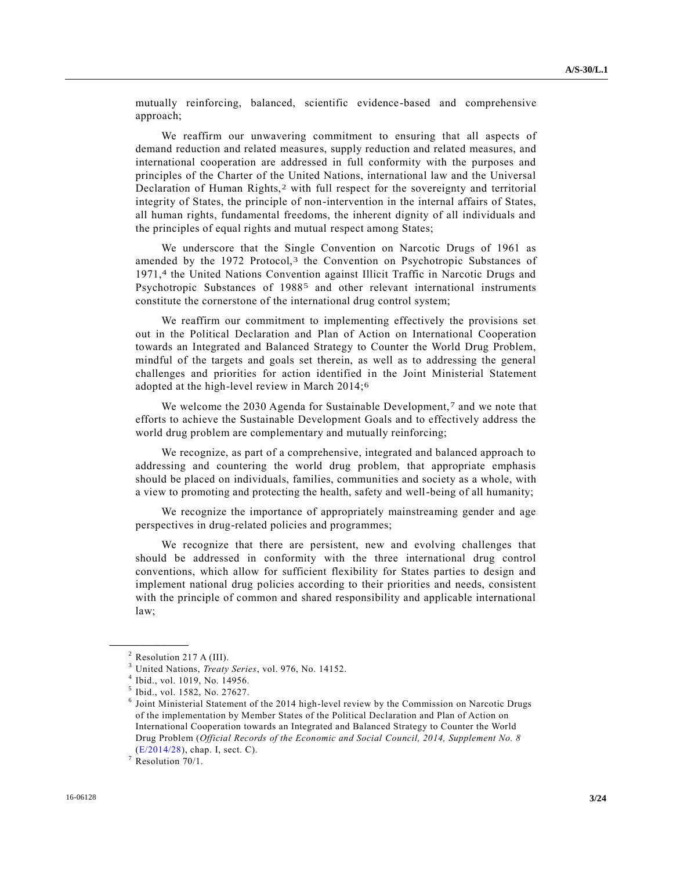mutually reinforcing, balanced, scientific evidence-based and comprehensive approach;

We reaffirm our unwavering commitment to ensuring that all aspects of demand reduction and related measures, supply reduction and related measures, and international cooperation are addressed in full conformity with the purposes and principles of the Charter of the United Nations, international law and the Universal Declaration of Human Rights,2 with full respect for the sovereignty and territorial integrity of States, the principle of non-intervention in the internal affairs of States, all human rights, fundamental freedoms, the inherent dignity of all individuals and the principles of equal rights and mutual respect among States;

We underscore that the Single Convention on Narcotic Drugs of 1961 as amended by the 1972 Protocol,<sup>3</sup> the Convention on Psychotropic Substances of 1971,<sup>4</sup> the United Nations Convention against Illicit Traffic in Narcotic Drugs and Psychotropic Substances of 19885 and other relevant international instruments constitute the cornerstone of the international drug control system;

We reaffirm our commitment to implementing effectively the provisions set out in the Political Declaration and Plan of Action on International Cooperation towards an Integrated and Balanced Strategy to Counter the World Drug Problem, mindful of the targets and goals set therein, as well as to addressing the general challenges and priorities for action identified in the Joint Ministerial Statement adopted at the high-level review in March 2014;6

We welcome the 2030 Agenda for Sustainable Development,<sup>7</sup> and we note that efforts to achieve the Sustainable Development Goals and to effectively address the world drug problem are complementary and mutually reinforcing;

We recognize, as part of a comprehensive, integrated and balanced approach to addressing and countering the world drug problem, that appropriate emphasis should be placed on individuals, families, communities and society as a whole, with a view to promoting and protecting the health, safety and well-being of all humanity;

We recognize the importance of appropriately mainstreaming gender and age perspectives in drug-related policies and programmes;

We recognize that there are persistent, new and evolving challenges that should be addressed in conformity with the three international drug control conventions, which allow for sufficient flexibility for States parties to design and implement national drug policies according to their priorities and needs, consistent with the principle of common and shared responsibility and applicable international law;

 $2$  Resolution 217 A (III).

<sup>3</sup> United Nations, *Treaty Series*, vol. 976, No. 14152.

<sup>4</sup> Ibid., vol. 1019, No. 14956.

<sup>5</sup> Ibid., vol. 1582, No. 27627.

<sup>6</sup> Joint Ministerial Statement of the 2014 high-level review by the Commission on Narcotic Drugs of the implementation by Member States of the Political Declaration and Plan of Action on International Cooperation towards an Integrated and Balanced Strategy to Counter the World Drug Problem (*Official Records of the Economic and Social Council, 2014, Supplement No. 8* [\(E/2014/28\)](http://undocs.org/E/2014/28), chap. I, sect. C).

 $7$  Resolution 70/1.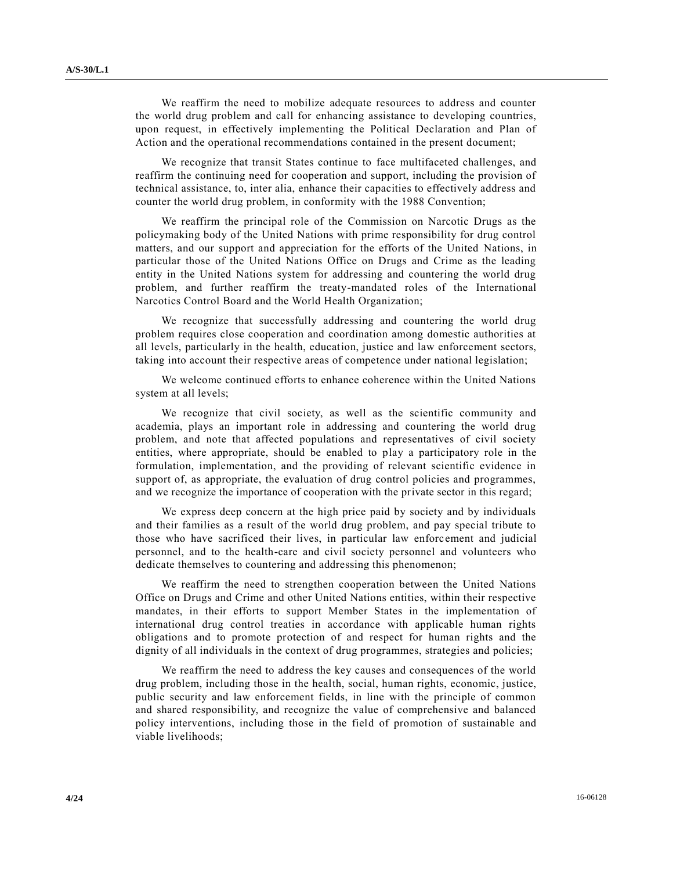We reaffirm the need to mobilize adequate resources to address and counter the world drug problem and call for enhancing assistance to developing countries, upon request, in effectively implementing the Political Declaration and Plan of Action and the operational recommendations contained in the present document;

We recognize that transit States continue to face multifaceted challenges, and reaffirm the continuing need for cooperation and support, including the provision of technical assistance, to, inter alia, enhance their capacities to effectively address and counter the world drug problem, in conformity with the 1988 Convention;

We reaffirm the principal role of the Commission on Narcotic Drugs as the policymaking body of the United Nations with prime responsibility for drug control matters, and our support and appreciation for the efforts of the United Nations, in particular those of the United Nations Office on Drugs and Crime as the leading entity in the United Nations system for addressing and countering the world drug problem, and further reaffirm the treaty-mandated roles of the International Narcotics Control Board and the World Health Organization;

We recognize that successfully addressing and countering the world drug problem requires close cooperation and coordination among domestic authorities at all levels, particularly in the health, education, justice and law enforcement sectors, taking into account their respective areas of competence under national legislation;

We welcome continued efforts to enhance coherence within the United Nations system at all levels;

We recognize that civil society, as well as the scientific community and academia, plays an important role in addressing and countering the world drug problem, and note that affected populations and representatives of civil society entities, where appropriate, should be enabled to play a participatory role in the formulation, implementation, and the providing of relevant scientific evidence in support of, as appropriate, the evaluation of drug control policies and programmes, and we recognize the importance of cooperation with the private sector in this regard;

We express deep concern at the high price paid by society and by individuals and their families as a result of the world drug problem, and pay special tribute to those who have sacrificed their lives, in particular law enforcement and judicial personnel, and to the health-care and civil society personnel and volunteers who dedicate themselves to countering and addressing this phenomenon;

We reaffirm the need to strengthen cooperation between the United Nations Office on Drugs and Crime and other United Nations entities, within their respective mandates, in their efforts to support Member States in the implementation of international drug control treaties in accordance with applicable human rights obligations and to promote protection of and respect for human rights and the dignity of all individuals in the context of drug programmes, strategies and policies;

We reaffirm the need to address the key causes and consequences of the world drug problem, including those in the health, social, human rights, economic, justice, public security and law enforcement fields, in line with the principle of common and shared responsibility, and recognize the value of comprehensive and balanced policy interventions, including those in the field of promotion of sustainable and viable livelihoods;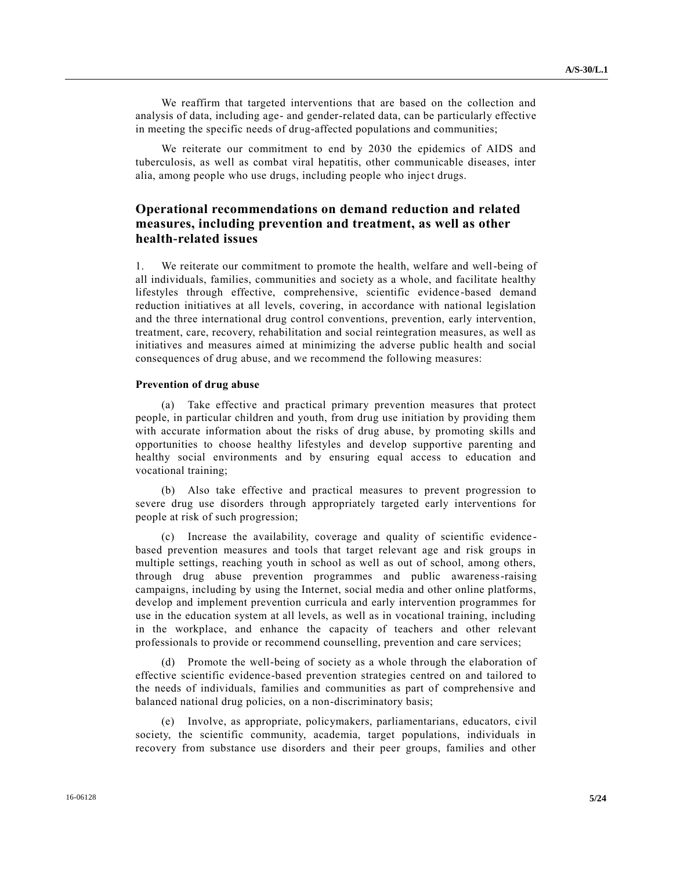We reaffirm that targeted interventions that are based on the collection and analysis of data, including age- and gender-related data, can be particularly effective in meeting the specific needs of drug-affected populations and communities;

We reiterate our commitment to end by 2030 the epidemics of AIDS and tuberculosis, as well as combat viral hepatitis, other communicable diseases, inter alia, among people who use drugs, including people who inject drugs.

## **Operational recommendations on demand reduction and related measures, including prevention and treatment, as well as other health-related issues**

1. We reiterate our commitment to promote the health, welfare and well-being of all individuals, families, communities and society as a whole, and facilitate healthy lifestyles through effective, comprehensive, scientific evidence -based demand reduction initiatives at all levels, covering, in accordance with national legislation and the three international drug control conventions, prevention, early intervention, treatment, care, recovery, rehabilitation and social reintegration measures, as well as initiatives and measures aimed at minimizing the adverse public health and social consequences of drug abuse, and we recommend the following measures:

### **Prevention of drug abuse**

(a) Take effective and practical primary prevention measures that protect people, in particular children and youth, from drug use initiation by providing them with accurate information about the risks of drug abuse, by promoting skills and opportunities to choose healthy lifestyles and develop supportive parenting and healthy social environments and by ensuring equal access to education and vocational training;

(b) Also take effective and practical measures to prevent progression to severe drug use disorders through appropriately targeted early interventions for people at risk of such progression;

(c) Increase the availability, coverage and quality of scientific evidence based prevention measures and tools that target relevant age and risk groups in multiple settings, reaching youth in school as well as out of school, among others, through drug abuse prevention programmes and public awareness-raising campaigns, including by using the Internet, social media and other online platforms, develop and implement prevention curricula and early intervention programmes for use in the education system at all levels, as well as in vocational training, including in the workplace, and enhance the capacity of teachers and other relevant professionals to provide or recommend counselling, prevention and care services;

(d) Promote the well-being of society as a whole through the elaboration of effective scientific evidence-based prevention strategies centred on and tailored to the needs of individuals, families and communities as part of comprehensive and balanced national drug policies, on a non-discriminatory basis;

(e) Involve, as appropriate, policymakers, parliamentarians, educators, c ivil society, the scientific community, academia, target populations, individuals in recovery from substance use disorders and their peer groups, families and other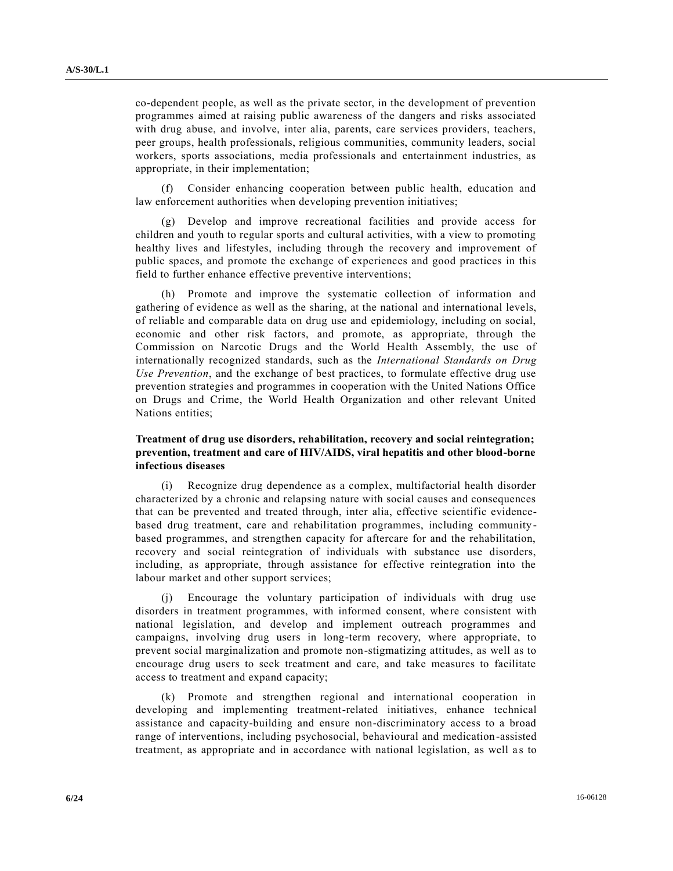co-dependent people, as well as the private sector, in the development of prevention programmes aimed at raising public awareness of the dangers and risks associated with drug abuse, and involve, inter alia, parents, care services providers, teachers, peer groups, health professionals, religious communities, community leaders, social workers, sports associations, media professionals and entertainment industries, as appropriate, in their implementation;

Consider enhancing cooperation between public health, education and law enforcement authorities when developing prevention initiatives;

(g) Develop and improve recreational facilities and provide access for children and youth to regular sports and cultural activities, with a view to promoting healthy lives and lifestyles, including through the recovery and improvement of public spaces, and promote the exchange of experiences and good practices in this field to further enhance effective preventive interventions;

(h) Promote and improve the systematic collection of information and gathering of evidence as well as the sharing, at the national and international levels, of reliable and comparable data on drug use and epidemiology, including on social, economic and other risk factors, and promote, as appropriate, through the Commission on Narcotic Drugs and the World Health Assembly, the use of internationally recognized standards, such as the *International Standards on Drug Use Prevention*, and the exchange of best practices, to formulate effective drug use prevention strategies and programmes in cooperation with the United Nations Office on Drugs and Crime, the World Health Organization and other relevant United Nations entities;

## **Treatment of drug use disorders, rehabilitation, recovery and social reintegration; prevention, treatment and care of HIV/AIDS, viral hepatitis and other blood-borne infectious diseases**

(i) Recognize drug dependence as a complex, multifactorial health disorder characterized by a chronic and relapsing nature with social causes and consequences that can be prevented and treated through, inter alia, effective scientific evidencebased drug treatment, care and rehabilitation programmes, including community based programmes, and strengthen capacity for aftercare for and the rehabilitation, recovery and social reintegration of individuals with substance use disorders, including, as appropriate, through assistance for effective reintegration into the labour market and other support services;

(j) Encourage the voluntary participation of individuals with drug use disorders in treatment programmes, with informed consent, where consistent with national legislation, and develop and implement outreach programmes and campaigns, involving drug users in long-term recovery, where appropriate, to prevent social marginalization and promote non-stigmatizing attitudes, as well as to encourage drug users to seek treatment and care, and take measures to facilitate access to treatment and expand capacity;

(k) Promote and strengthen regional and international cooperation in developing and implementing treatment-related initiatives, enhance technical assistance and capacity-building and ensure non-discriminatory access to a broad range of interventions, including psychosocial, behavioural and medication-assisted treatment, as appropriate and in accordance with national legislation, as well a s to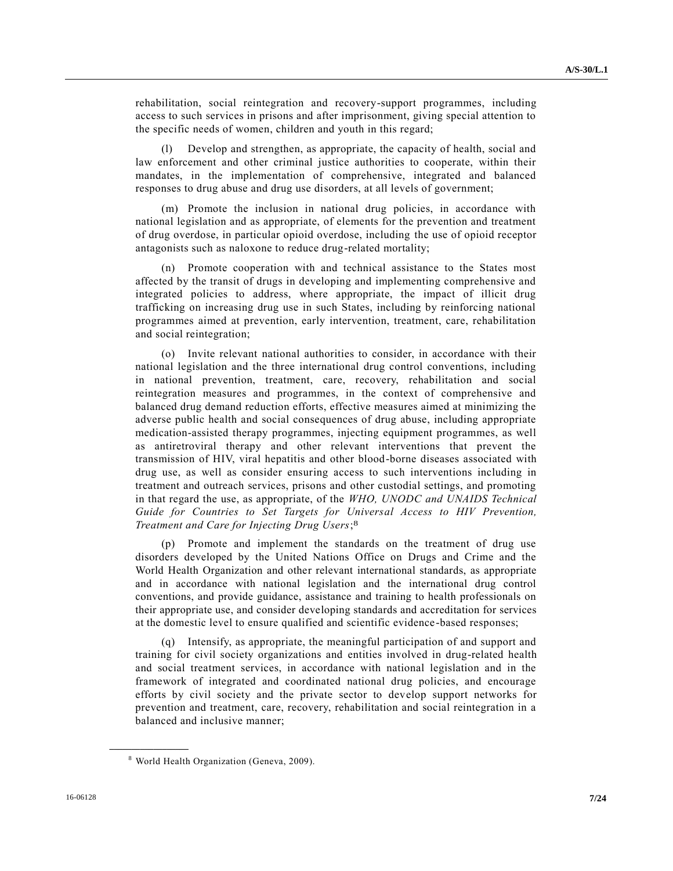rehabilitation, social reintegration and recovery-support programmes, including access to such services in prisons and after imprisonment, giving special attention to the specific needs of women, children and youth in this regard;

(l) Develop and strengthen, as appropriate, the capacity of health, social and law enforcement and other criminal justice authorities to cooperate, within their mandates, in the implementation of comprehensive, integrated and balanced responses to drug abuse and drug use disorders, at all levels of government;

(m) Promote the inclusion in national drug policies, in accordance with national legislation and as appropriate, of elements for the prevention and treatment of drug overdose, in particular opioid overdose, including the use of opioid receptor antagonists such as naloxone to reduce drug-related mortality;

(n) Promote cooperation with and technical assistance to the States most affected by the transit of drugs in developing and implementing comprehensive and integrated policies to address, where appropriate, the impact of illicit drug trafficking on increasing drug use in such States, including by reinforcing national programmes aimed at prevention, early intervention, treatment, care, rehabilitation and social reintegration;

(o) Invite relevant national authorities to consider, in accordance with their national legislation and the three international drug control conventions, including in national prevention, treatment, care, recovery, rehabilitation and social reintegration measures and programmes, in the context of comprehensive and balanced drug demand reduction efforts, effective measures aimed at minimizing the adverse public health and social consequences of drug abuse, including appropriate medication-assisted therapy programmes, injecting equipment programmes, as well as antiretroviral therapy and other relevant interventions that prevent the transmission of HIV, viral hepatitis and other blood-borne diseases associated with drug use, as well as consider ensuring access to such interventions including in treatment and outreach services, prisons and other custodial settings, and promoting in that regard the use, as appropriate, of the *WHO, UNODC and UNAIDS Technical Guide for Countries to Set Targets for Universal Access to HIV Prevention, Treatment and Care for Injecting Drug Users*; 8

(p) Promote and implement the standards on the treatment of drug use disorders developed by the United Nations Office on Drugs and Crime and the World Health Organization and other relevant international standards, as appropriate and in accordance with national legislation and the international drug control conventions, and provide guidance, assistance and training to health professionals on their appropriate use, and consider developing standards and accreditation for services at the domestic level to ensure qualified and scientific evidence-based responses;

(q) Intensify, as appropriate, the meaningful participation of and support and training for civil society organizations and entities involved in drug-related health and social treatment services, in accordance with national legislation and in the framework of integrated and coordinated national drug policies, and encourage efforts by civil society and the private sector to develop support networks for prevention and treatment, care, recovery, rehabilitation and social reintegration in a balanced and inclusive manner;

<sup>8</sup> World Health Organization (Geneva, 2009).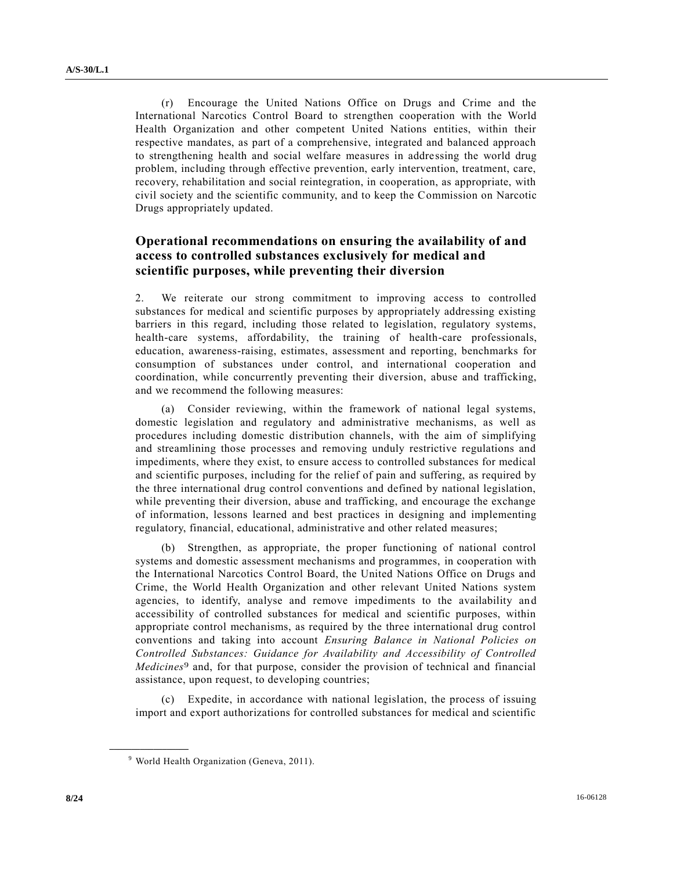(r) Encourage the United Nations Office on Drugs and Crime and the International Narcotics Control Board to strengthen cooperation with the World Health Organization and other competent United Nations entities, within their respective mandates, as part of a comprehensive, integrated and balanced approach to strengthening health and social welfare measures in addressing the world drug problem, including through effective prevention, early intervention, treatment, care, recovery, rehabilitation and social reintegration, in cooperation, as appropriate, with civil society and the scientific community, and to keep the Commission on Narcotic Drugs appropriately updated.

# **Operational recommendations on ensuring the availability of and access to controlled substances exclusively for medical and scientific purposes, while preventing their diversion**

2. We reiterate our strong commitment to improving access to controlled substances for medical and scientific purposes by appropriately addressing existing barriers in this regard, including those related to legislation, regulatory systems, health-care systems, affordability, the training of health-care professionals, education, awareness-raising, estimates, assessment and reporting, benchmarks for consumption of substances under control, and international cooperation and coordination, while concurrently preventing their diversion, abuse and trafficking, and we recommend the following measures:

(a) Consider reviewing, within the framework of national legal systems, domestic legislation and regulatory and administrative mechanisms, as well as procedures including domestic distribution channels, with the aim of simplifying and streamlining those processes and removing unduly restrictive regulations and impediments, where they exist, to ensure access to controlled substances for medical and scientific purposes, including for the relief of pain and suffering, as required by the three international drug control conventions and defined by national legislation, while preventing their diversion, abuse and trafficking, and encourage the exchange of information, lessons learned and best practices in designing and implementing regulatory, financial, educational, administrative and other related measures;

(b) Strengthen, as appropriate, the proper functioning of national control systems and domestic assessment mechanisms and programmes, in cooperation with the International Narcotics Control Board, the United Nations Office on Drugs and Crime, the World Health Organization and other relevant United Nations system agencies, to identify, analyse and remove impediments to the availability and accessibility of controlled substances for medical and scientific purposes, within appropriate control mechanisms, as required by the three international drug control conventions and taking into account *Ensuring Balance in National Policies on Controlled Substances: Guidance for Availability and Accessibility of Controlled Medicines*9 and, for that purpose, consider the provision of technical and financial assistance, upon request, to developing countries;

(c) Expedite, in accordance with national legislation, the process of issuing import and export authorizations for controlled substances for medical and scientific

<sup>&</sup>lt;sup>9</sup> World Health Organization (Geneva, 2011).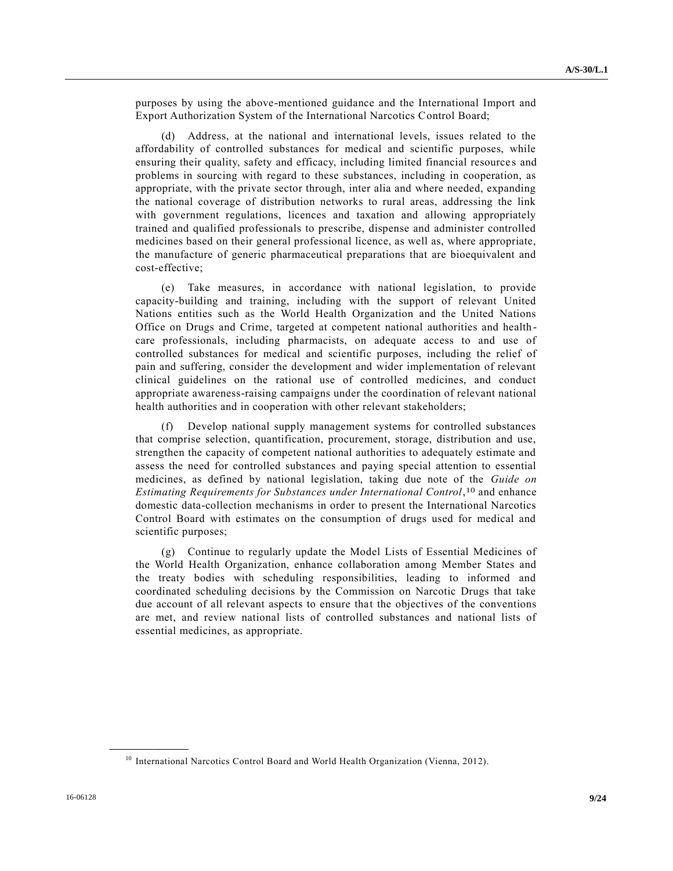purposes by using the above-mentioned guidance and the International Import and Export Authorization System of the International Narcotics Control Board;

(d) Address, at the national and international levels, issues related to the affordability of controlled substances for medical and scientific purposes, while ensuring their quality, safety and efficacy, including limited financial resource s and problems in sourcing with regard to these substances, including in cooperation, as appropriate, with the private sector through, inter alia and where needed, expanding the national coverage of distribution networks to rural areas, addressing the link with government regulations, licences and taxation and allowing appropriately trained and qualified professionals to prescribe, dispense and administer controlled medicines based on their general professional licence, as well as, where appropriate, the manufacture of generic pharmaceutical preparations that are bioequivalent and cost-effective;

(e) Take measures, in accordance with national legislation, to provide capacity-building and training, including with the support of relevant United Nations entities such as the World Health Organization and the United Nations Office on Drugs and Crime, targeted at competent national authorities and health care professionals, including pharmacists, on adequate access to and use of controlled substances for medical and scientific purposes, including the relief of pain and suffering, consider the development and wider implementation of relevant clinical guidelines on the rational use of controlled medicines, and conduct appropriate awareness-raising campaigns under the coordination of relevant national health authorities and in cooperation with other relevant stakeholders;

(f) Develop national supply management systems for controlled substances that comprise selection, quantification, procurement, storage, distribution and use, strengthen the capacity of competent national authorities to adequately estimate and assess the need for controlled substances and paying special attention to essential medicines, as defined by national legislation, taking due note of the *Guide on Estimating Requirements for Substances under International Control*, 10 and enhance domestic data-collection mechanisms in order to present the International Narcotics Control Board with estimates on the consumption of drugs used for medical and scientific purposes;

(g) Continue to regularly update the Model Lists of Essential Medicines of the World Health Organization, enhance collaboration among Member States and the treaty bodies with scheduling responsibilities, leading to informed and coordinated scheduling decisions by the Commission on Narcotic Drugs that take due account of all relevant aspects to ensure that the objectives of the conventions are met, and review national lists of controlled substances and national lists of essential medicines, as appropriate.

<sup>&</sup>lt;sup>10</sup> International Narcotics Control Board and World Health Organization (Vienna, 2012).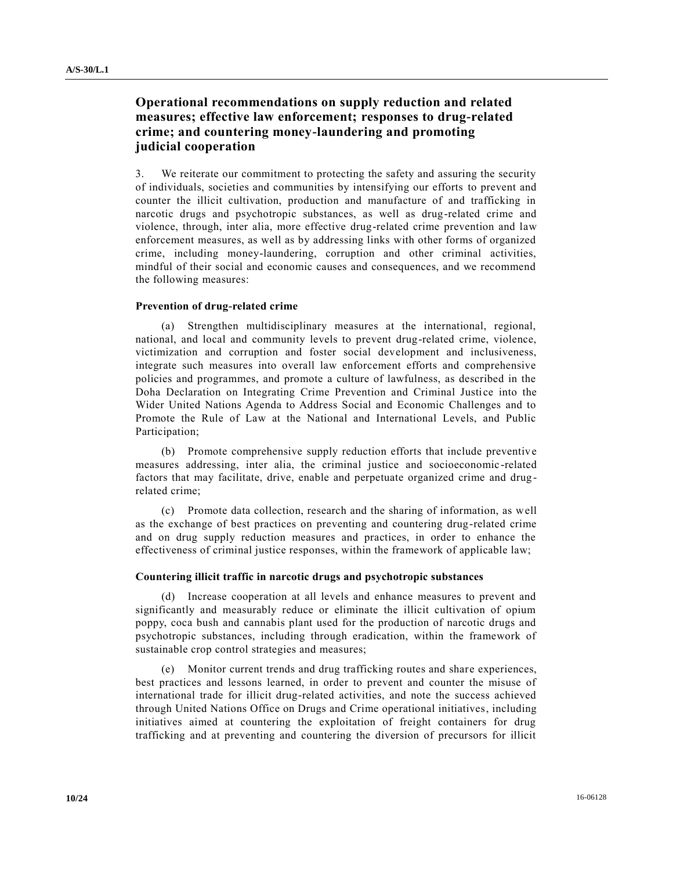# **Operational recommendations on supply reduction and related measures; effective law enforcement; responses to drug-related crime; and countering money-laundering and promoting judicial cooperation**

3. We reiterate our commitment to protecting the safety and assuring the security of individuals, societies and communities by intensifying our efforts to prevent and counter the illicit cultivation, production and manufacture of and trafficking in narcotic drugs and psychotropic substances, as well as drug-related crime and violence, through, inter alia, more effective drug-related crime prevention and law enforcement measures, as well as by addressing links with other forms of organized crime, including money-laundering, corruption and other criminal activities, mindful of their social and economic causes and consequences, and we recommend the following measures:

### **Prevention of drug-related crime**

(a) Strengthen multidisciplinary measures at the international, regional, national, and local and community levels to prevent drug-related crime, violence, victimization and corruption and foster social development and inclusiveness, integrate such measures into overall law enforcement efforts and comprehensive policies and programmes, and promote a culture of lawfulness, as described in the Doha Declaration on Integrating Crime Prevention and Criminal Justice into the Wider United Nations Agenda to Address Social and Economic Challenges and to Promote the Rule of Law at the National and International Levels, and Public Participation;

(b) Promote comprehensive supply reduction efforts that include preventive measures addressing, inter alia, the criminal justice and socioeconomic -related factors that may facilitate, drive, enable and perpetuate organized crime and drug related crime;

(c) Promote data collection, research and the sharing of information, as well as the exchange of best practices on preventing and countering drug-related crime and on drug supply reduction measures and practices, in order to enhance the effectiveness of criminal justice responses, within the framework of applicable law;

#### **Countering illicit traffic in narcotic drugs and psychotropic substances**

(d) Increase cooperation at all levels and enhance measures to prevent and significantly and measurably reduce or eliminate the illicit cultivation of opium poppy, coca bush and cannabis plant used for the production of narcotic drugs and psychotropic substances, including through eradication, within the framework of sustainable crop control strategies and measures;

(e) Monitor current trends and drug trafficking routes and share experiences, best practices and lessons learned, in order to prevent and counter the misuse of international trade for illicit drug-related activities, and note the success achieved through United Nations Office on Drugs and Crime operational initiatives, including initiatives aimed at countering the exploitation of freight containers for drug trafficking and at preventing and countering the diversion of precursors for illicit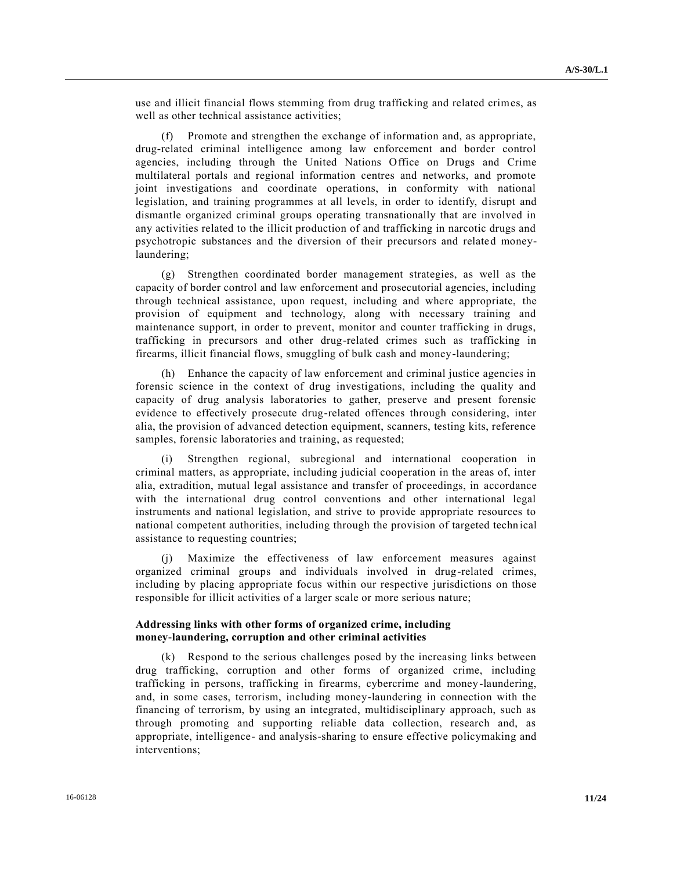use and illicit financial flows stemming from drug trafficking and related crimes, as well as other technical assistance activities;

Promote and strengthen the exchange of information and, as appropriate, drug-related criminal intelligence among law enforcement and border control agencies, including through the United Nations Office on Drugs and Crime multilateral portals and regional information centres and networks, and promote joint investigations and coordinate operations, in conformity with national legislation, and training programmes at all levels, in order to identify, disrupt and dismantle organized criminal groups operating transnationally that are involved in any activities related to the illicit production of and trafficking in narcotic drugs and psychotropic substances and the diversion of their precursors and related moneylaundering;

(g) Strengthen coordinated border management strategies, as well as the capacity of border control and law enforcement and prosecutorial agencies, including through technical assistance, upon request, including and where appropriate, the provision of equipment and technology, along with necessary training and maintenance support, in order to prevent, monitor and counter trafficking in drugs, trafficking in precursors and other drug-related crimes such as trafficking in firearms, illicit financial flows, smuggling of bulk cash and money-laundering;

(h) Enhance the capacity of law enforcement and criminal justice agencies in forensic science in the context of drug investigations, including the quality and capacity of drug analysis laboratories to gather, preserve and present forensic evidence to effectively prosecute drug-related offences through considering, inter alia, the provision of advanced detection equipment, scanners, testing kits, reference samples, forensic laboratories and training, as requested;

(i) Strengthen regional, subregional and international cooperation in criminal matters, as appropriate, including judicial cooperation in the areas of, inter alia, extradition, mutual legal assistance and transfer of proceedings, in accordance with the international drug control conventions and other international legal instruments and national legislation, and strive to provide appropriate resources to national competent authorities, including through the provision of targeted techn ical assistance to requesting countries;

(j) Maximize the effectiveness of law enforcement measures against organized criminal groups and individuals involved in drug-related crimes, including by placing appropriate focus within our respective jurisdictions on those responsible for illicit activities of a larger scale or more serious nature;

## **Addressing links with other forms of organized crime, including money-laundering, corruption and other criminal activities**

(k) Respond to the serious challenges posed by the increasing links between drug trafficking, corruption and other forms of organized crime, including trafficking in persons, trafficking in firearms, cybercrime and money-laundering, and, in some cases, terrorism, including money-laundering in connection with the financing of terrorism, by using an integrated, multidisciplinary approach, such as through promoting and supporting reliable data collection, research and, as appropriate, intelligence- and analysis-sharing to ensure effective policymaking and interventions;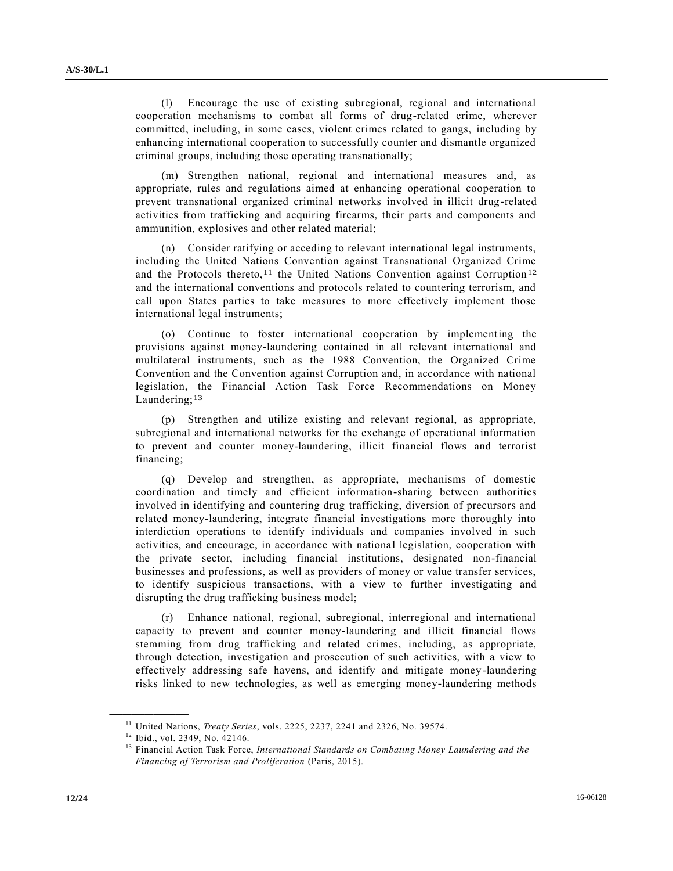(l) Encourage the use of existing subregional, regional and international cooperation mechanisms to combat all forms of drug-related crime, wherever committed, including, in some cases, violent crimes related to gangs, including by enhancing international cooperation to successfully counter and dismantle organized criminal groups, including those operating transnationally;

(m) Strengthen national, regional and international measures and, as appropriate, rules and regulations aimed at enhancing operational cooperation to prevent transnational organized criminal networks involved in illicit drug -related activities from trafficking and acquiring firearms, their parts and components and ammunition, explosives and other related material;

(n) Consider ratifying or acceding to relevant international legal instruments, including the United Nations Convention against Transnational Organized Crime and the Protocols thereto,<sup>11</sup> the United Nations Convention against Corruption<sup>12</sup> and the international conventions and protocols related to countering terrorism, and call upon States parties to take measures to more effectively implement those international legal instruments;

(o) Continue to foster international cooperation by implementing the provisions against money-laundering contained in all relevant international and multilateral instruments, such as the 1988 Convention, the Organized Crime Convention and the Convention against Corruption and, in accordance with national legislation, the Financial Action Task Force Recommendations on Money Laundering;<sup>13</sup>

(p) Strengthen and utilize existing and relevant regional, as appropriate, subregional and international networks for the exchange of operational information to prevent and counter money-laundering, illicit financial flows and terrorist financing;

(q) Develop and strengthen, as appropriate, mechanisms of domestic coordination and timely and efficient information-sharing between authorities involved in identifying and countering drug trafficking, diversion of precursors and related money-laundering, integrate financial investigations more thoroughly into interdiction operations to identify individuals and companies involved in such activities, and encourage, in accordance with national legislation, cooperation with the private sector, including financial institutions, designated non-financial businesses and professions, as well as providers of money or value transfer services, to identify suspicious transactions, with a view to further investigating and disrupting the drug trafficking business model;

(r) Enhance national, regional, subregional, interregional and international capacity to prevent and counter money-laundering and illicit financial flows stemming from drug trafficking and related crimes, including, as appropriate, through detection, investigation and prosecution of such activities, with a view to effectively addressing safe havens, and identify and mitigate money-laundering risks linked to new technologies, as well as emerging money-laundering methods

<sup>11</sup> United Nations, *Treaty Series*, vols. 2225, 2237, 2241 and 2326, No. 39574.

<sup>12</sup> Ibid., vol. 2349, No. 42146.

<sup>13</sup> Financial Action Task Force, *International Standards on Combating Money Laundering and the Financing of Terrorism and Proliferation* (Paris, 2015).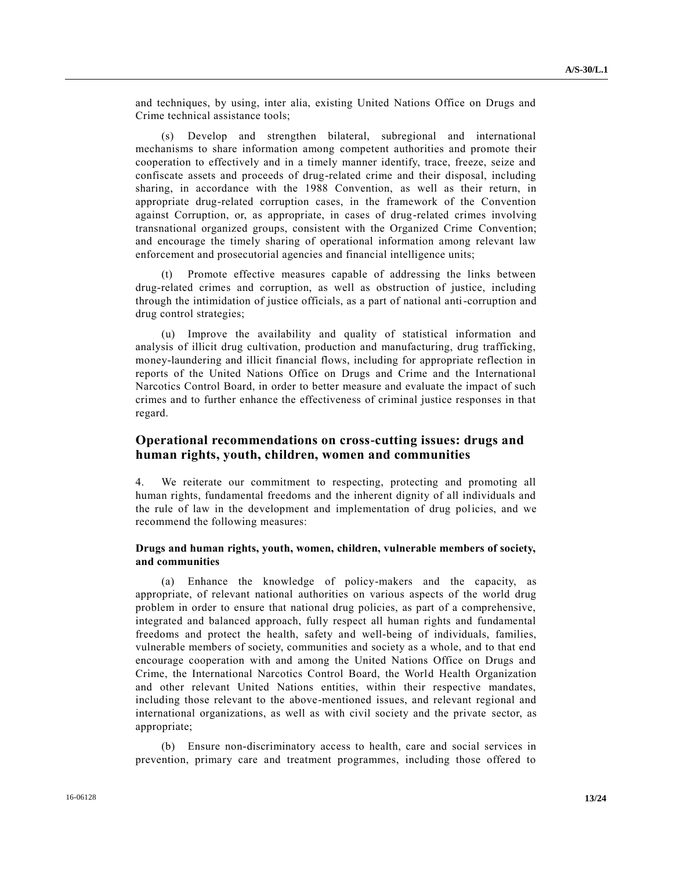and techniques, by using, inter alia, existing United Nations Office on Drugs and Crime technical assistance tools;

Develop and strengthen bilateral, subregional and international mechanisms to share information among competent authorities and promote their cooperation to effectively and in a timely manner identify, trace, freeze, seize and confiscate assets and proceeds of drug-related crime and their disposal, including sharing, in accordance with the 1988 Convention, as well as their return, in appropriate drug-related corruption cases, in the framework of the Convention against Corruption, or, as appropriate, in cases of drug-related crimes involving transnational organized groups, consistent with the Organized Crime Convention; and encourage the timely sharing of operational information among relevant law enforcement and prosecutorial agencies and financial intelligence units;

Promote effective measures capable of addressing the links between drug-related crimes and corruption, as well as obstruction of justice, including through the intimidation of justice officials, as a part of national anti-corruption and drug control strategies;

(u) Improve the availability and quality of statistical information and analysis of illicit drug cultivation, production and manufacturing, drug trafficking, money-laundering and illicit financial flows, including for appropriate reflection in reports of the United Nations Office on Drugs and Crime and the International Narcotics Control Board, in order to better measure and evaluate the impact of such crimes and to further enhance the effectiveness of criminal justice responses in that regard.

## **Operational recommendations on cross-cutting issues: drugs and human rights, youth, children, women and communities**

4. We reiterate our commitment to respecting, protecting and promoting all human rights, fundamental freedoms and the inherent dignity of all individuals and the rule of law in the development and implementation of drug policies, and we recommend the following measures:

## **Drugs and human rights, youth, women, children, vulnerable members of society, and communities**

(a) Enhance the knowledge of policy-makers and the capacity, as appropriate, of relevant national authorities on various aspects of the world drug problem in order to ensure that national drug policies, as part of a comprehensive, integrated and balanced approach, fully respect all human rights and fundamental freedoms and protect the health, safety and well-being of individuals, families, vulnerable members of society, communities and society as a whole, and to that end encourage cooperation with and among the United Nations Office on Drugs and Crime, the International Narcotics Control Board, the World Health Organization and other relevant United Nations entities, within their respective mandates, including those relevant to the above-mentioned issues, and relevant regional and international organizations, as well as with civil society and the private sector, as appropriate;

(b) Ensure non-discriminatory access to health, care and social services in prevention, primary care and treatment programmes, including those offered to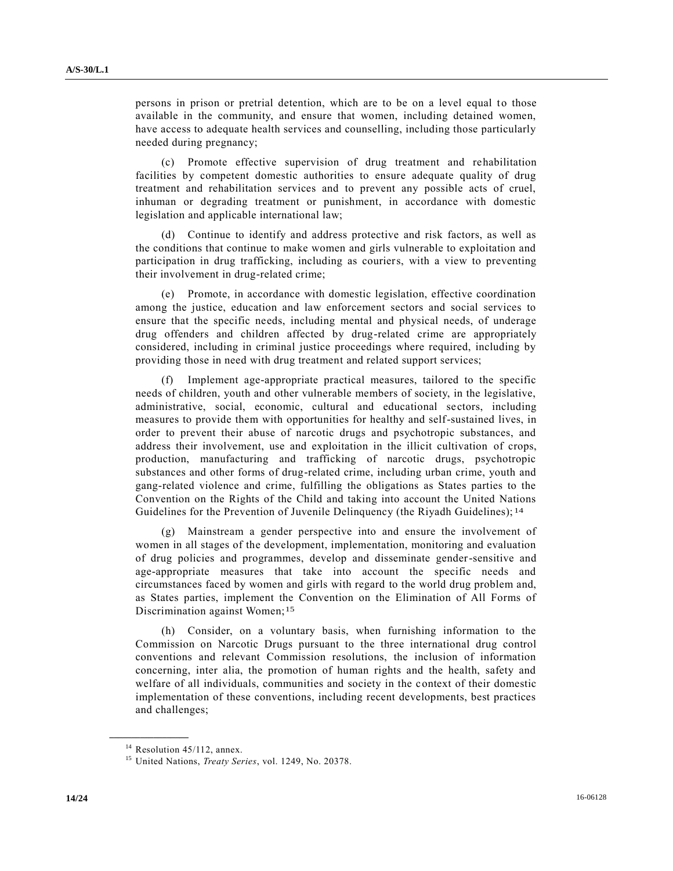persons in prison or pretrial detention, which are to be on a level equal to those available in the community, and ensure that women, including detained women, have access to adequate health services and counselling, including those particularly needed during pregnancy;

(c) Promote effective supervision of drug treatment and rehabilitation facilities by competent domestic authorities to ensure adequate quality of drug treatment and rehabilitation services and to prevent any possible acts of cruel, inhuman or degrading treatment or punishment, in accordance with domestic legislation and applicable international law;

(d) Continue to identify and address protective and risk factors, as well as the conditions that continue to make women and girls vulnerable to exploitation and participation in drug trafficking, including as couriers, with a view to preventing their involvement in drug-related crime;

(e) Promote, in accordance with domestic legislation, effective coordination among the justice, education and law enforcement sectors and social services to ensure that the specific needs, including mental and physical needs, of underage drug offenders and children affected by drug-related crime are appropriately considered, including in criminal justice proceedings where required, including by providing those in need with drug treatment and related support services;

(f) Implement age-appropriate practical measures, tailored to the specific needs of children, youth and other vulnerable members of society, in the legislative, administrative, social, economic, cultural and educational sectors, including measures to provide them with opportunities for healthy and self-sustained lives, in order to prevent their abuse of narcotic drugs and psychotropic substances, and address their involvement, use and exploitation in the illicit cultivation of crops, production, manufacturing and trafficking of narcotic drugs, psychotropic substances and other forms of drug-related crime, including urban crime, youth and gang-related violence and crime, fulfilling the obligations as States parties to the Convention on the Rights of the Child and taking into account the United Nations Guidelines for the Prevention of Juvenile Delinquency (the Riyadh Guidelines); <sup>14</sup>

(g) Mainstream a gender perspective into and ensure the involvement of women in all stages of the development, implementation, monitoring and evaluation of drug policies and programmes, develop and disseminate gender-sensitive and age-appropriate measures that take into account the specific needs and circumstances faced by women and girls with regard to the world drug problem and, as States parties, implement the Convention on the Elimination of All Forms of Discrimination against Women;<sup>15</sup>

(h) Consider, on a voluntary basis, when furnishing information to the Commission on Narcotic Drugs pursuant to the three international drug control conventions and relevant Commission resolutions, the inclusion of information concerning, inter alia, the promotion of human rights and the health, safety and welfare of all individuals, communities and society in the context of their domestic implementation of these conventions, including recent developments, best practices and challenges;

 $14$  Resolution 45/112, annex.

<sup>15</sup> United Nations, *Treaty Series*, vol. 1249, No. 20378.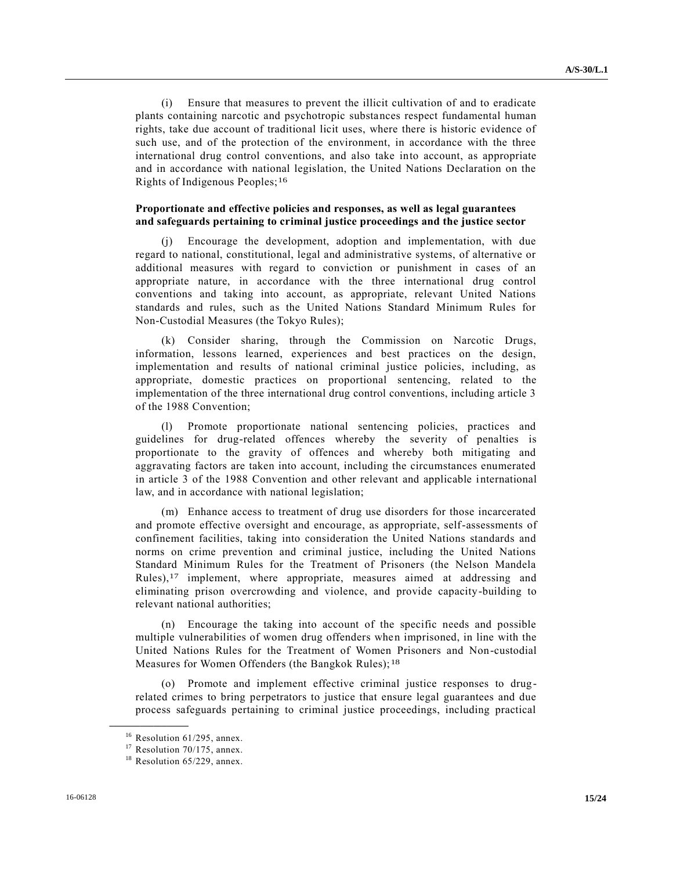(i) Ensure that measures to prevent the illicit cultivation of and to eradicate plants containing narcotic and psychotropic substances respect fundamental human rights, take due account of traditional licit uses, where there is historic evidence of such use, and of the protection of the environment, in accordance with the three international drug control conventions, and also take into account, as appropriate and in accordance with national legislation, the United Nations Declaration on the Rights of Indigenous Peoples;16

### **Proportionate and effective policies and responses, as well as legal guarantees and safeguards pertaining to criminal justice proceedings and the justice sector**

(j) Encourage the development, adoption and implementation, with due regard to national, constitutional, legal and administrative systems, of alternative or additional measures with regard to conviction or punishment in cases of an appropriate nature, in accordance with the three international drug control conventions and taking into account, as appropriate, relevant United Nations standards and rules, such as the United Nations Standard Minimum Rules for Non-Custodial Measures (the Tokyo Rules);

(k) Consider sharing, through the Commission on Narcotic Drugs, information, lessons learned, experiences and best practices on the design, implementation and results of national criminal justice policies, including, as appropriate, domestic practices on proportional sentencing, related to the implementation of the three international drug control conventions, including article 3 of the 1988 Convention;

(l) Promote proportionate national sentencing policies, practices and guidelines for drug-related offences whereby the severity of penalties is proportionate to the gravity of offences and whereby both mitigating and aggravating factors are taken into account, including the circumstances enumerated in article 3 of the 1988 Convention and other relevant and applicable international law, and in accordance with national legislation;

(m) Enhance access to treatment of drug use disorders for those incarcerated and promote effective oversight and encourage, as appropriate, self-assessments of confinement facilities, taking into consideration the United Nations standards and norms on crime prevention and criminal justice, including the United Nations Standard Minimum Rules for the Treatment of Prisoners (the Nelson Mandela Rules),17 implement, where appropriate, measures aimed at addressing and eliminating prison overcrowding and violence, and provide capacity-building to relevant national authorities;

(n) Encourage the taking into account of the specific needs and possible multiple vulnerabilities of women drug offenders when imprisoned, in line with the United Nations Rules for the Treatment of Women Prisoners and Non-custodial Measures for Women Offenders (the Bangkok Rules);<sup>18</sup>

(o) Promote and implement effective criminal justice responses to drugrelated crimes to bring perpetrators to justice that ensure legal guarantees and due process safeguards pertaining to criminal justice proceedings, including practical

 $16$  Resolution 61/295, annex.

<sup>&</sup>lt;sup>17</sup> Resolution 70/175, annex.

<sup>&</sup>lt;sup>18</sup> Resolution 65/229, annex.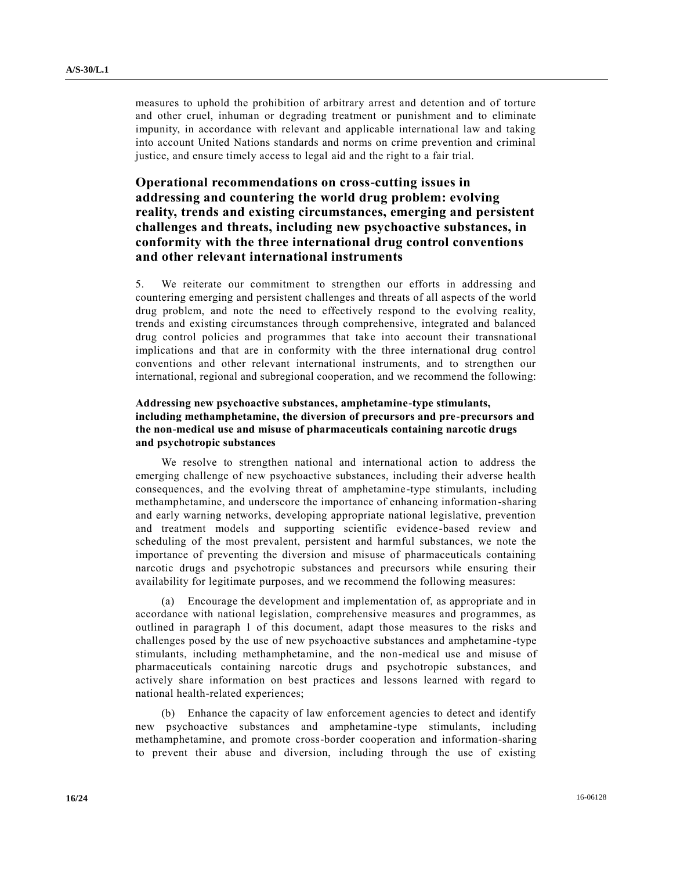measures to uphold the prohibition of arbitrary arrest and detention and of torture and other cruel, inhuman or degrading treatment or punishment and to eliminate impunity, in accordance with relevant and applicable international law and taking into account United Nations standards and norms on crime prevention and criminal justice, and ensure timely access to legal aid and the right to a fair trial.

# **Operational recommendations on cross-cutting issues in addressing and countering the world drug problem: evolving reality, trends and existing circumstances, emerging and persistent challenges and threats, including new psychoactive substances, in conformity with the three international drug control conventions and other relevant international instruments**

5. We reiterate our commitment to strengthen our efforts in addressing and countering emerging and persistent challenges and threats of all aspects of the world drug problem, and note the need to effectively respond to the evolving reality, trends and existing circumstances through comprehensive, integrated and balanced drug control policies and programmes that take into account their transnational implications and that are in conformity with the three international drug control conventions and other relevant international instruments, and to strengthen our international, regional and subregional cooperation, and we recommend the following:

## **Addressing new psychoactive substances, amphetamine-type stimulants, including methamphetamine, the diversion of precursors and pre-precursors and the non-medical use and misuse of pharmaceuticals containing narcotic drugs and psychotropic substances**

We resolve to strengthen national and international action to address the emerging challenge of new psychoactive substances, including their adverse health consequences, and the evolving threat of amphetamine-type stimulants, including methamphetamine, and underscore the importance of enhancing information-sharing and early warning networks, developing appropriate national legislative, prevention and treatment models and supporting scientific evidence-based review and scheduling of the most prevalent, persistent and harmful substances, we note the importance of preventing the diversion and misuse of pharmaceuticals containing narcotic drugs and psychotropic substances and precursors while ensuring their availability for legitimate purposes, and we recommend the following measures:

(a) Encourage the development and implementation of, as appropriate and in accordance with national legislation, comprehensive measures and programmes, as outlined in paragraph 1 of this document, adapt those measures to the risks and challenges posed by the use of new psychoactive substances and amphetamine -type stimulants, including methamphetamine, and the non-medical use and misuse of pharmaceuticals containing narcotic drugs and psychotropic substances, and actively share information on best practices and lessons learned with regard to national health-related experiences;

(b) Enhance the capacity of law enforcement agencies to detect and identify new psychoactive substances and amphetamine-type stimulants, including methamphetamine, and promote cross-border cooperation and information-sharing to prevent their abuse and diversion, including through the use of existing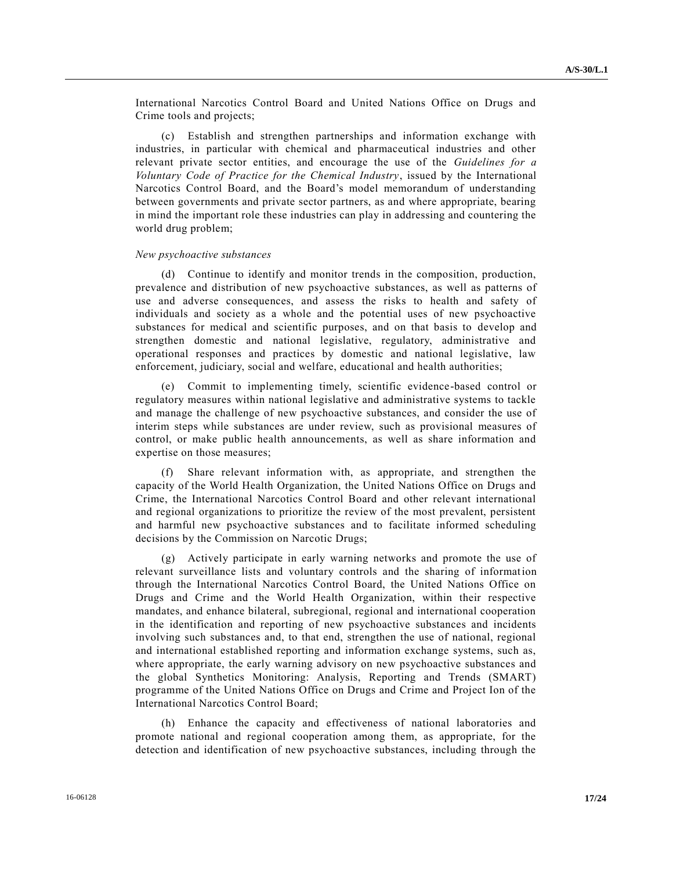International Narcotics Control Board and United Nations Office on Drugs and Crime tools and projects;

(c) Establish and strengthen partnerships and information exchange with industries, in particular with chemical and pharmaceutical industries and other relevant private sector entities, and encourage the use of the *Guidelines for a Voluntary Code of Practice for the Chemical Industry*, issued by the International Narcotics Control Board, and the Board's model memorandum of understanding between governments and private sector partners, as and where appropriate, bearing in mind the important role these industries can play in addressing and countering the world drug problem;

#### *New psychoactive substances*

(d) Continue to identify and monitor trends in the composition, production, prevalence and distribution of new psychoactive substances, as well as patterns of use and adverse consequences, and assess the risks to health and safety of individuals and society as a whole and the potential uses of new psychoactive substances for medical and scientific purposes, and on that basis to develop and strengthen domestic and national legislative, regulatory, administrative and operational responses and practices by domestic and national legislative, law enforcement, judiciary, social and welfare, educational and health authorities;

(e) Commit to implementing timely, scientific evidence-based control or regulatory measures within national legislative and administrative systems to tackle and manage the challenge of new psychoactive substances, and consider the use of interim steps while substances are under review, such as provisional measures of control, or make public health announcements, as well as share information and expertise on those measures;

(f) Share relevant information with, as appropriate, and strengthen the capacity of the World Health Organization, the United Nations Office on Drugs and Crime, the International Narcotics Control Board and other relevant international and regional organizations to prioritize the review of the most prevalent, persistent and harmful new psychoactive substances and to facilitate informed scheduling decisions by the Commission on Narcotic Drugs;

(g) Actively participate in early warning networks and promote the use of relevant surveillance lists and voluntary controls and the sharing of information through the International Narcotics Control Board, the United Nations Office on Drugs and Crime and the World Health Organization, within their respective mandates, and enhance bilateral, subregional, regional and international cooperation in the identification and reporting of new psychoactive substances and incidents involving such substances and, to that end, strengthen the use of national, regional and international established reporting and information exchange systems, such as, where appropriate, the early warning advisory on new psychoactive substances and the global Synthetics Monitoring: Analysis, Reporting and Trends (SMART) programme of the United Nations Office on Drugs and Crime and Project Ion of the International Narcotics Control Board;

(h) Enhance the capacity and effectiveness of national laboratories and promote national and regional cooperation among them, as appropriate, for the detection and identification of new psychoactive substances, including through the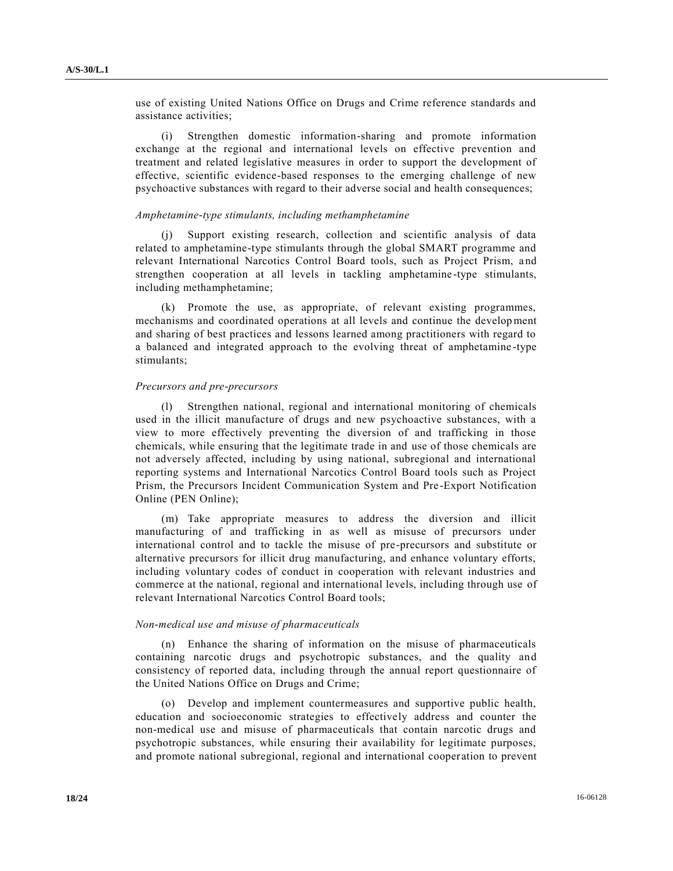use of existing United Nations Office on Drugs and Crime reference standards and assistance activities;

(i) Strengthen domestic information-sharing and promote information exchange at the regional and international levels on effective prevention and treatment and related legislative measures in order to support the development of effective, scientific evidence-based responses to the emerging challenge of new psychoactive substances with regard to their adverse social and health consequences;

#### *Amphetamine-type stimulants, including methamphetamine*

Support existing research, collection and scientific analysis of data related to amphetamine-type stimulants through the global SMART programme and relevant International Narcotics Control Board tools, such as Project Prism, a nd strengthen cooperation at all levels in tackling amphetamine -type stimulants, including methamphetamine;

(k) Promote the use, as appropriate, of relevant existing programmes, mechanisms and coordinated operations at all levels and continue the development and sharing of best practices and lessons learned among practitioners with regard to a balanced and integrated approach to the evolving threat of amphetamine -type stimulants;

#### *Precursors and pre-precursors*

Strengthen national, regional and international monitoring of chemicals used in the illicit manufacture of drugs and new psychoactive substances, with a view to more effectively preventing the diversion of and trafficking in those chemicals, while ensuring that the legitimate trade in and use of those chemicals are not adversely affected, including by using national, subregional and international reporting systems and International Narcotics Control Board tools such as Project Prism, the Precursors Incident Communication System and Pre -Export Notification Online (PEN Online);

(m) Take appropriate measures to address the diversion and illicit manufacturing of and trafficking in as well as misuse of precursors under international control and to tackle the misuse of pre-precursors and substitute or alternative precursors for illicit drug manufacturing, and enhance voluntary efforts, including voluntary codes of conduct in cooperation with relevant industries and commerce at the national, regional and international levels, including through use of relevant International Narcotics Control Board tools;

#### *Non-medical use and misuse of pharmaceuticals*

(n) Enhance the sharing of information on the misuse of pharmaceuticals containing narcotic drugs and psychotropic substances, and the quality and consistency of reported data, including through the annual report questionnaire of the United Nations Office on Drugs and Crime;

(o) Develop and implement countermeasures and supportive public health, education and socioeconomic strategies to effectively address and counter the non-medical use and misuse of pharmaceuticals that contain narcotic drugs and psychotropic substances, while ensuring their availability for legitimate purposes, and promote national subregional, regional and international cooper ation to prevent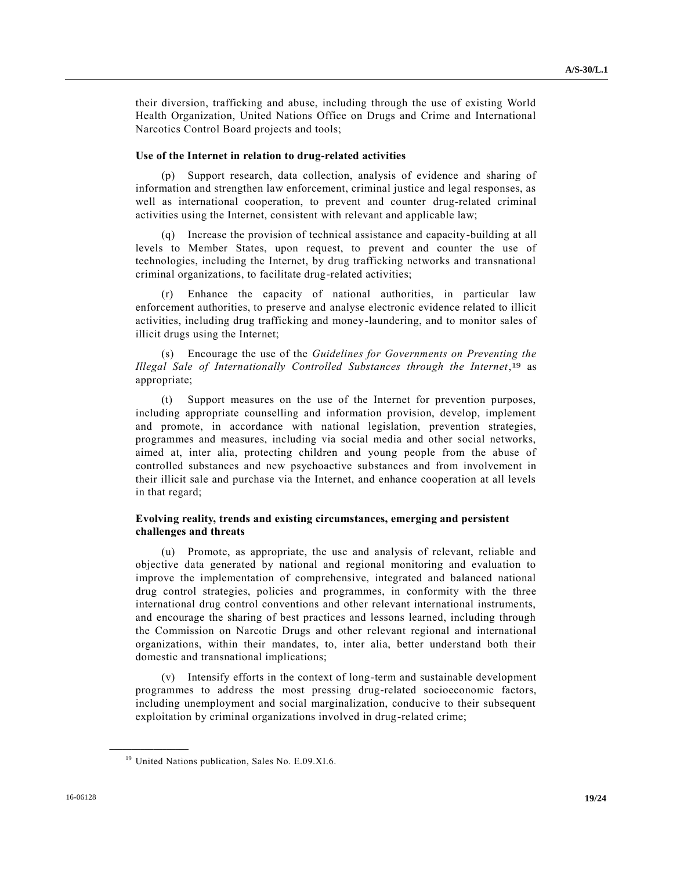their diversion, trafficking and abuse, including through the use of existing World Health Organization, United Nations Office on Drugs and Crime and International Narcotics Control Board projects and tools;

#### **Use of the Internet in relation to drug-related activities**

(p) Support research, data collection, analysis of evidence and sharing of information and strengthen law enforcement, criminal justice and legal responses, as well as international cooperation, to prevent and counter drug-related criminal activities using the Internet, consistent with relevant and applicable law;

(q) Increase the provision of technical assistance and capacity-building at all levels to Member States, upon request, to prevent and counter the use of technologies, including the Internet, by drug trafficking networks and transnational criminal organizations, to facilitate drug-related activities;

(r) Enhance the capacity of national authorities, in particular law enforcement authorities, to preserve and analyse electronic evidence related to illicit activities, including drug trafficking and money-laundering, and to monitor sales of illicit drugs using the Internet;

(s) Encourage the use of the *Guidelines for Governments on Preventing the Illegal Sale of Internationally Controlled Substances through the Internet*, 19 as appropriate;

(t) Support measures on the use of the Internet for prevention purposes, including appropriate counselling and information provision, develop, implement and promote, in accordance with national legislation, prevention strategies, programmes and measures, including via social media and other social networks, aimed at, inter alia, protecting children and young people from the abuse of controlled substances and new psychoactive substances and from involvement in their illicit sale and purchase via the Internet, and enhance cooperation at all levels in that regard;

## **Evolving reality, trends and existing circumstances, emerging and persistent challenges and threats**

(u) Promote, as appropriate, the use and analysis of relevant, reliable and objective data generated by national and regional monitoring and evaluation to improve the implementation of comprehensive, integrated and balanced national drug control strategies, policies and programmes, in conformity with the three international drug control conventions and other relevant international instruments, and encourage the sharing of best practices and lessons learned, including through the Commission on Narcotic Drugs and other relevant regional and international organizations, within their mandates, to, inter alia, better understand both their domestic and transnational implications;

(v) Intensify efforts in the context of long-term and sustainable development programmes to address the most pressing drug-related socioeconomic factors, including unemployment and social marginalization, conducive to their subsequent exploitation by criminal organizations involved in drug-related crime;

<sup>&</sup>lt;sup>19</sup> United Nations publication, Sales No. E.09.XI.6.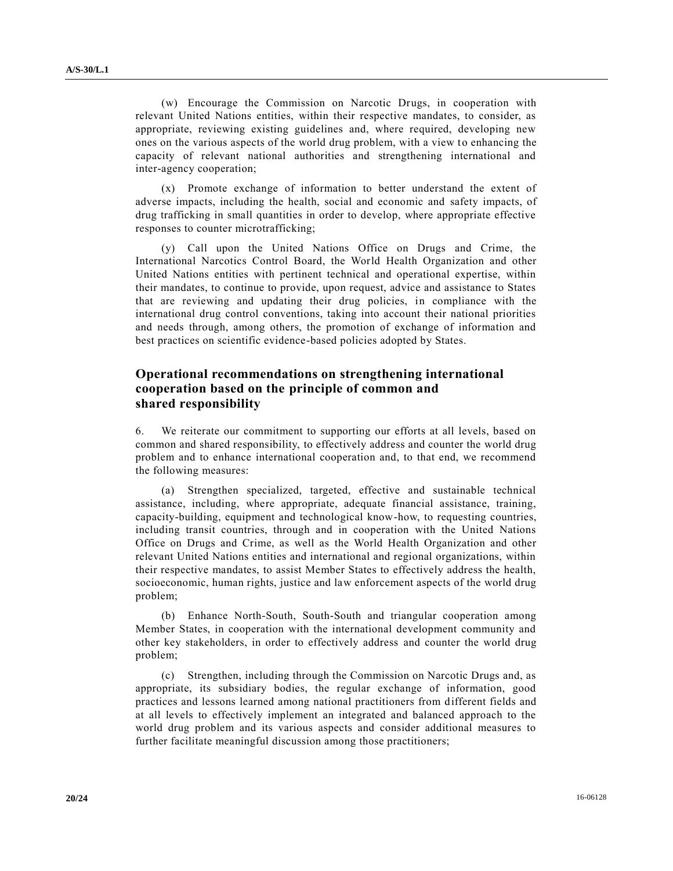(w) Encourage the Commission on Narcotic Drugs, in cooperation with relevant United Nations entities, within their respective mandates, to consider, as appropriate, reviewing existing guidelines and, where required, developing new ones on the various aspects of the world drug problem, with a view to enhancing the capacity of relevant national authorities and strengthening international and inter-agency cooperation;

(x) Promote exchange of information to better understand the extent of adverse impacts, including the health, social and economic and safety impacts, of drug trafficking in small quantities in order to develop, where appropriate effective responses to counter microtrafficking;

(y) Call upon the United Nations Office on Drugs and Crime, the International Narcotics Control Board, the World Health Organization and other United Nations entities with pertinent technical and operational expertise, within their mandates, to continue to provide, upon request, advice and assistance to States that are reviewing and updating their drug policies, in compliance with the international drug control conventions, taking into account their national priorities and needs through, among others, the promotion of exchange of information and best practices on scientific evidence-based policies adopted by States.

## **Operational recommendations on strengthening international cooperation based on the principle of common and shared responsibility**

6. We reiterate our commitment to supporting our efforts at all levels, based on common and shared responsibility, to effectively address and counter the world drug problem and to enhance international cooperation and, to that end, we recommend the following measures:

(a) Strengthen specialized, targeted, effective and sustainable technical assistance, including, where appropriate, adequate financial assistance, training, capacity-building, equipment and technological know-how, to requesting countries, including transit countries, through and in cooperation with the United Nations Office on Drugs and Crime, as well as the World Health Organization and other relevant United Nations entities and international and regional organizations, within their respective mandates, to assist Member States to effectively address the health, socioeconomic, human rights, justice and law enforcement aspects of the world drug problem;

(b) Enhance North-South, South-South and triangular cooperation among Member States, in cooperation with the international development community and other key stakeholders, in order to effectively address and counter the world drug problem;

(c) Strengthen, including through the Commission on Narcotic Drugs and, as appropriate, its subsidiary bodies, the regular exchange of information, good practices and lessons learned among national practitioners from different fields and at all levels to effectively implement an integrated and balanced approach to the world drug problem and its various aspects and consider additional measures to further facilitate meaningful discussion among those practitioners;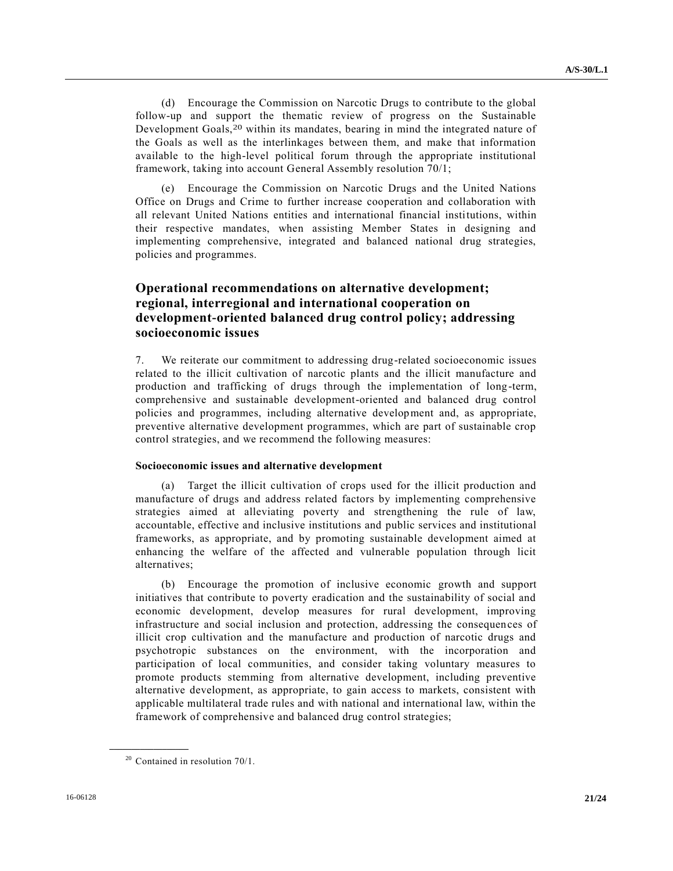(d) Encourage the Commission on Narcotic Drugs to contribute to the global follow-up and support the thematic review of progress on the Sustainable Development Goals,20 within its mandates, bearing in mind the integrated nature of the Goals as well as the interlinkages between them, and make that information available to the high-level political forum through the appropriate institutional framework, taking into account General Assembly resolution 70/1;

(e) Encourage the Commission on Narcotic Drugs and the United Nations Office on Drugs and Crime to further increase cooperation and collaboration with all relevant United Nations entities and international financial institutions, within their respective mandates, when assisting Member States in designing and implementing comprehensive, integrated and balanced national drug strategies, policies and programmes.

## **Operational recommendations on alternative development; regional, interregional and international cooperation on development-oriented balanced drug control policy; addressing socioeconomic issues**

7. We reiterate our commitment to addressing drug-related socioeconomic issues related to the illicit cultivation of narcotic plants and the illicit manufacture and production and trafficking of drugs through the implementation of long -term, comprehensive and sustainable development-oriented and balanced drug control policies and programmes, including alternative development and, as appropriate, preventive alternative development programmes, which are part of sustainable crop control strategies, and we recommend the following measures:

### **Socioeconomic issues and alternative development**

(a) Target the illicit cultivation of crops used for the illicit production and manufacture of drugs and address related factors by implementing comprehensive strategies aimed at alleviating poverty and strengthening the rule of law, accountable, effective and inclusive institutions and public services and institutional frameworks, as appropriate, and by promoting sustainable development aimed at enhancing the welfare of the affected and vulnerable population through licit alternatives;

(b) Encourage the promotion of inclusive economic growth and support initiatives that contribute to poverty eradication and the sustainability of social and economic development, develop measures for rural development, improving infrastructure and social inclusion and protection, addressing the consequences of illicit crop cultivation and the manufacture and production of narcotic drugs and psychotropic substances on the environment, with the incorporation and participation of local communities, and consider taking voluntary measures to promote products stemming from alternative development, including preventive alternative development, as appropriate, to gain access to markets, consistent with applicable multilateral trade rules and with national and international law, within the framework of comprehensive and balanced drug control strategies;

 $20$  Contained in resolution 70/1.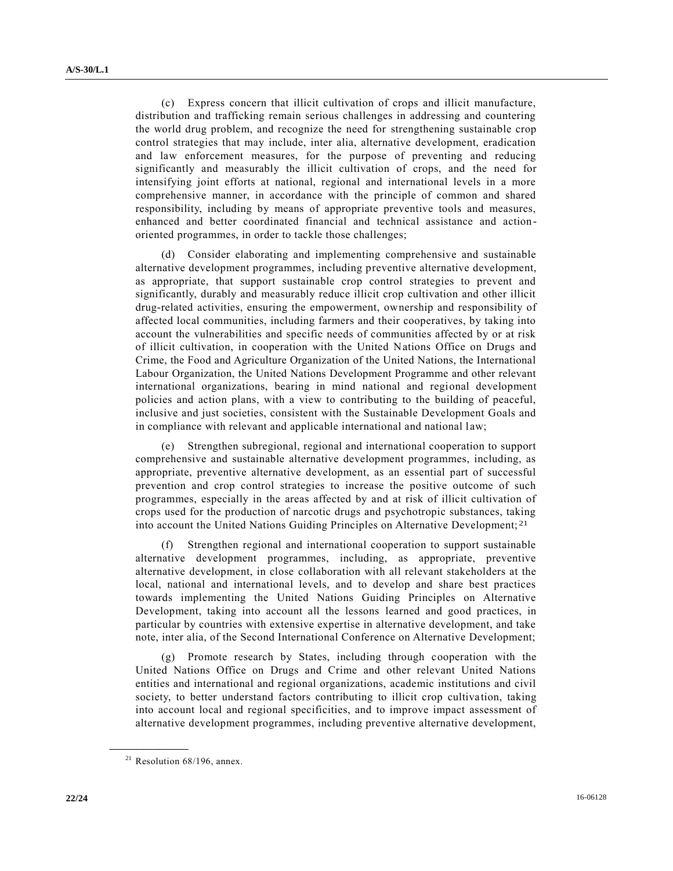(c) Express concern that illicit cultivation of crops and illicit manufacture, distribution and trafficking remain serious challenges in addressing and countering the world drug problem, and recognize the need for strengthening sustainable crop control strategies that may include, inter alia, alternative development, eradication and law enforcement measures, for the purpose of preventing and reducing significantly and measurably the illicit cultivation of crops, and the need for intensifying joint efforts at national, regional and international levels in a more comprehensive manner, in accordance with the principle of common and shared responsibility, including by means of appropriate preventive tools and measures, enhanced and better coordinated financial and technical assistance and actionoriented programmes, in order to tackle those challenges;

(d) Consider elaborating and implementing comprehensive and sustainable alternative development programmes, including preventive alternative development, as appropriate, that support sustainable crop control strategies to prevent and significantly, durably and measurably reduce illicit crop cultivation and other illicit drug-related activities, ensuring the empowerment, ownership and responsibility of affected local communities, including farmers and their cooperatives, by taking into account the vulnerabilities and specific needs of communities affected by or at risk of illicit cultivation, in cooperation with the United Nations Office on Drugs and Crime, the Food and Agriculture Organization of the United Nations, the International Labour Organization, the United Nations Development Programme and other relevant international organizations, bearing in mind national and regional development policies and action plans, with a view to contributing to the building of peaceful, inclusive and just societies, consistent with the Sustainable Development Goals and in compliance with relevant and applicable international and national law;

(e) Strengthen subregional, regional and international cooperation to support comprehensive and sustainable alternative development programmes, including, as appropriate, preventive alternative development, as an essential part of successful prevention and crop control strategies to increase the positive outcome of such programmes, especially in the areas affected by and at risk of illicit cultivation of crops used for the production of narcotic drugs and psychotropic substances, taking into account the United Nations Guiding Principles on Alternative Development; 21

(f) Strengthen regional and international cooperation to support sustainable alternative development programmes, including, as appropriate, preventive alternative development, in close collaboration with all relevant stakeholders at the local, national and international levels, and to develop and share best practices towards implementing the United Nations Guiding Principles on Alternative Development, taking into account all the lessons learned and good practices, in particular by countries with extensive expertise in alternative development, and take note, inter alia, of the Second International Conference on Alternative Development;

(g) Promote research by States, including through cooperation with the United Nations Office on Drugs and Crime and other relevant United Nations entities and international and regional organizations, academic institutions and civil society, to better understand factors contributing to illicit crop cultivation, taking into account local and regional specificities, and to improve impact assessment of alternative development programmes, including preventive alternative development,

<sup>&</sup>lt;sup>21</sup> Resolution  $68/196$ , annex.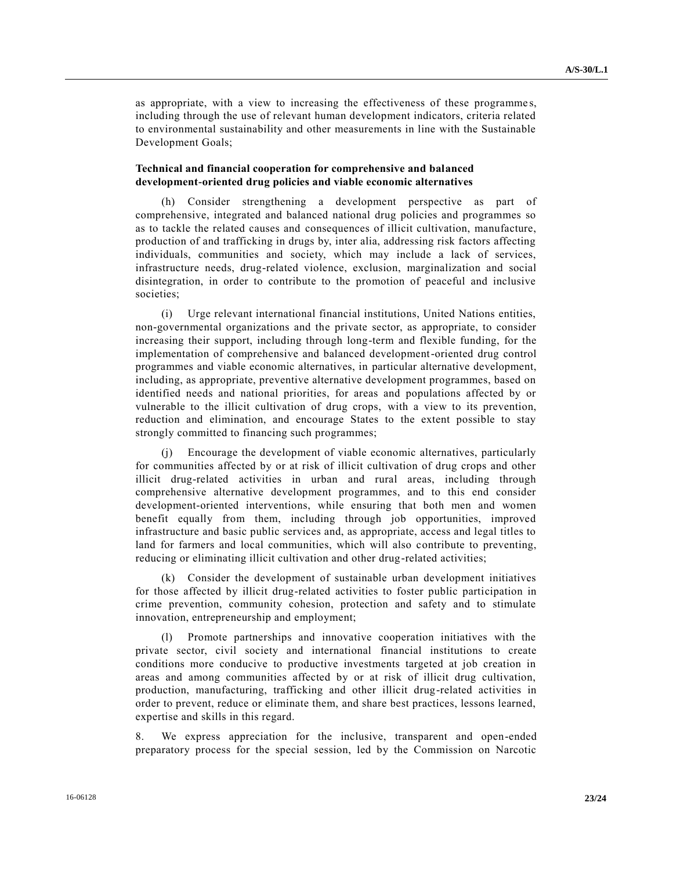as appropriate, with a view to increasing the effectiveness of these programme s, including through the use of relevant human development indicators, criteria related to environmental sustainability and other measurements in line with the Sustainable Development Goals;

## **Technical and financial cooperation for comprehensive and balanced development-oriented drug policies and viable economic alternatives**

(h) Consider strengthening a development perspective as part of comprehensive, integrated and balanced national drug policies and programmes so as to tackle the related causes and consequences of illicit cultivation, manufacture, production of and trafficking in drugs by, inter alia, addressing risk factors affecting individuals, communities and society, which may include a lack of services, infrastructure needs, drug-related violence, exclusion, marginalization and social disintegration, in order to contribute to the promotion of peaceful and inclusive societies;

(i) Urge relevant international financial institutions, United Nations entities, non-governmental organizations and the private sector, as appropriate, to consider increasing their support, including through long-term and flexible funding, for the implementation of comprehensive and balanced development-oriented drug control programmes and viable economic alternatives, in particular alternative development, including, as appropriate, preventive alternative development programmes, based on identified needs and national priorities, for areas and populations affected by or vulnerable to the illicit cultivation of drug crops, with a view to its prevention, reduction and elimination, and encourage States to the extent possible to stay strongly committed to financing such programmes;

(j) Encourage the development of viable economic alternatives, particularly for communities affected by or at risk of illicit cultivation of drug crops and other illicit drug-related activities in urban and rural areas, including through comprehensive alternative development programmes, and to this end consider development-oriented interventions, while ensuring that both men and women benefit equally from them, including through job opportunities, improved infrastructure and basic public services and, as appropriate, access and legal titles to land for farmers and local communities, which will also contribute to preventing, reducing or eliminating illicit cultivation and other drug-related activities;

(k) Consider the development of sustainable urban development initiatives for those affected by illicit drug-related activities to foster public participation in crime prevention, community cohesion, protection and safety and to stimulate innovation, entrepreneurship and employment;

(l) Promote partnerships and innovative cooperation initiatives with the private sector, civil society and international financial institutions to create conditions more conducive to productive investments targeted at job creation in areas and among communities affected by or at risk of illicit drug cultivation, production, manufacturing, trafficking and other illicit drug-related activities in order to prevent, reduce or eliminate them, and share best practices, lessons learned, expertise and skills in this regard.

8. We express appreciation for the inclusive, transparent and open-ended preparatory process for the special session, led by the Commission on Narcotic